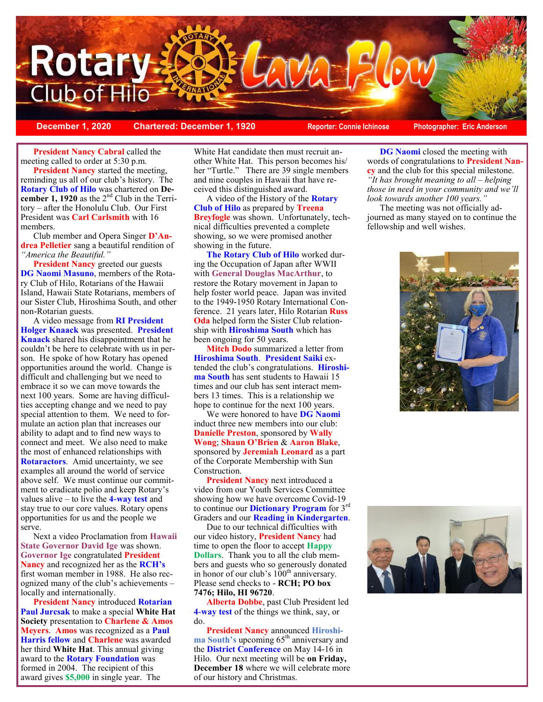

**December 1, 2020 Chartered: December 1, 1920 Reporter: Connie Ichinose Photographer: Eric Anderson**

**President Nancy Cabral** called the meeting called to order at 5:30 p.m.

**President Nancy** started the meeting, reminding us all of our club's history. The **Rotary Club of Hilo** was chartered on **De**cember 1, 1920 as the 2<sup>nd</sup> Club in the Territory – after the Honolulu Club. Our First President was **Carl Carlsmith** with 16 members.

Club member and Opera Singer **D'Andrea Pelletier** sang a beautiful rendition of *"America the Beautiful."*

**President Nancy** greeted our guests **DG Naomi Masuno**, members of the Rotary Club of Hilo, Rotarians of the Hawaii Island, Hawaii State Rotarians, members of our Sister Club, Hiroshima South, and other non-Rotarian guests.

A video message from **RI President Holger Knaack** was presented. **President Knaack** shared his disappointment that he couldn't be here to celebrate with us in person. He spoke of how Rotary has opened opportunities around the world. Change is difficult and challenging but we need to embrace it so we can move towards the next 100 years. Some are having difficulties accepting change and we need to pay special attention to them. We need to formulate an action plan that increases our ability to adapt and to find new ways to connect and meet. We also need to make the most of enhanced relationships with **Rotaractors**. Amid uncertainty, we see examples all around the world of service above self. We must continue our commitment to eradicate polio and keep Rotary's values alive – to live the **4-way test** and stay true to our core values. Rotary opens opportunities for us and the people we serve.

Next a video Proclamation from **Hawaii State Governor David Ige** was shown. **Governor Ige** congratulated **President Nancy** and recognized her as the **RCH's** first woman member in 1988. He also recognized many of the club's achievements – locally and internationally.

**President Nancy** introduced **Rotarian Paul Jurcsak** to make a special **White Hat Society** presentation to **Charlene & Amos Meyers**. **Amos** was recognized as a **Paul Harris fellow** and **Charlene** was awarded her third **White Hat**. This annual giving award to the **Rotary Foundation** was formed in 2004. The recipient of this award gives **\$5,000** in single year. The

White Hat candidate then must recruit another White Hat. This person becomes his/ her "Turtle." There are 39 single members and nine couples in Hawaii that have received this distinguished award.

A video of the History of the **Rotary Club of Hilo** as prepared by **Treena Breyfogle** was shown. Unfortunately, technical difficulties prevented a complete showing, so we were promised another showing in the future.

**The Rotary Club of Hilo** worked during the Occupation of Japan after WWII with **General Douglas MacArthur**, to restore the Rotary movement in Japan to help foster world peace. Japan was invited to the 1949-1950 Rotary International Conference. 21 years later, Hilo Rotarian **Russ Oda** helped form the Sister Club relationship with **Hiroshima South** which has been ongoing for 50 years.

**Mitch Dodo** summarized a letter from **Hiroshima South**. **President Saiki** extended the club's congratulations. **Hiroshima South** has sent students to Hawaii 15 times and our club has sent interact members 13 times. This is a relationship we hope to continue for the next 100 years.

We were honored to have **DG Naomi** induct three new members into our club: **Danielle Preston**, sponsored by **Wally Wong**; **Shaun O'Brien** & **Aaron Blake**, sponsored by **Jeremiah Leonard** as a part of the Corporate Membership with Sun Construction.

**President Nancy** next introduced a video from our Youth Services Committee showing how we have overcome Covid-19 to continue our **Dictionary Program** for 3rd Graders and our **Reading in Kindergarten**.

Due to our technical difficulties with our video history, **President Nancy** had time to open the floor to accept **Happy Dollars**. Thank you to all the club members and guests who so generously donated in honor of our club's  $100<sup>th</sup>$  anniversary. Please send checks to - **RCH; PO box 7476; Hilo, HI 96720**.

**Alberta Dobbe**, past Club President led **4-way test** of the things we think, say, or do.

**President Nancy** announced **Hiroshi**ma South's upcoming 65<sup>th</sup> anniversary and the **District Conference** on May 14-16 in Hilo. Our next meeting will be **on Friday, December 18** where we will celebrate more of our history and Christmas.

**DG Naomi** closed the meeting with words of congratulations to **President Nancy** and the club for this special milestone. *"It has brought meaning to all – helping those in need in your community and we'll look towards another 100 years."* 

The meeting was not officially adjourned as many stayed on to continue the fellowship and well wishes.